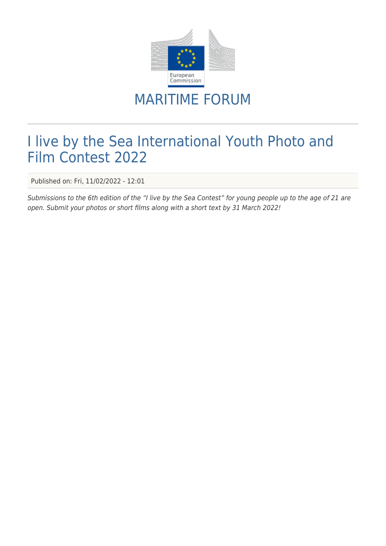

## MARITIME FORUM

## I live by the Sea International Youth Photo and Film Contest 2022

Published on: Fri, 11/02/2022 - 12:01

Submissions to the 6th edition of the "I live by the Sea Contest" for young people up to the age of 21 are open. Submit your photos or short films along with a short text by 31 March 2022!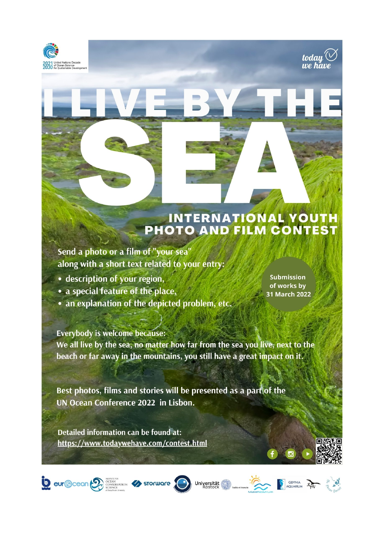



Send a photo or a film of "your sea' along with a short text related to your entry:

- description of your region,
- a special feature of the place,
- an explanation of the depicted problem, etc.

**Submission** of works by 31 March 2022

today''<br>we have

**Everybody is welcome because:** We all live by the sea, no matter how far from the sea you live, next to the beach or far away in the mountains, you still have a great impact on it.

Best photos, films and stories will be presented as a part of the UN Ocean Conference 2022 in Lisbon.

Detailed information can be found at: https://www.todaywehave.com/contest.html

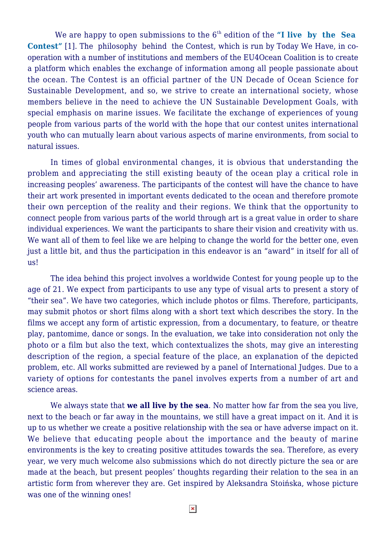We are happy to open submissions to the 6<sup>th</sup> edition of the "I live by the Sea **[Contest"](https://todaywehave.com/contest.htm)** [1]. The philosophy behind the Contest, which is run by Today We Have, in cooperation with a number of institutions and members of the EU4Ocean Coalition is to create a platform which enables the exchange of information among all people passionate about the ocean. The Contest is an official partner of the UN Decade of Ocean Science for Sustainable Development, and so, we strive to create an international society, whose members believe in the need to achieve the UN Sustainable Development Goals, with special emphasis on marine issues. We facilitate the exchange of experiences of young people from various parts of the world with the hope that our contest unites international youth who can mutually learn about various aspects of marine environments, from social to natural issues.

In times of global environmental changes, it is obvious that understanding the problem and appreciating the still existing beauty of the ocean play a critical role in increasing peoples' awareness. The participants of the contest will have the chance to have their art work presented in important events dedicated to the ocean and therefore promote their own perception of the reality and their regions. We think that the opportunity to connect people from various parts of the world through art is a great value in order to share individual experiences. We want the participants to share their vision and creativity with us. We want all of them to feel like we are helping to change the world for the better one, even just a little bit, and thus the participation in this endeavor is an "award" in itself for all of us!

The idea behind this project involves a worldwide Contest for young people up to the age of 21. We expect from participants to use any type of visual arts to present a story of "their sea". We have two categories, which include photos or films. Therefore, participants, may submit photos or short films along with a short text which describes the story. In the films we accept any form of artistic expression, from a documentary, to feature, or theatre play, pantomime, dance or songs. In the evaluation, we take into consideration not only the photo or a film but also the text, which contextualizes the shots, may give an interesting description of the region, a special feature of the place, an explanation of the depicted problem, etc. All works submitted are reviewed by a panel of International Judges. Due to a variety of options for contestants the panel involves experts from a number of art and science areas.

We always state that **we all live by the sea**. No matter how far from the sea you live, next to the beach or far away in the mountains, we still have a great impact on it. And it is up to us whether we create a positive relationship with the sea or have adverse impact on it. We believe that educating people about the importance and the beauty of marine environments is the key to creating positive attitudes towards the sea. Therefore, as every year, we very much welcome also submissions which do not directly picture the sea or are made at the beach, but present peoples' thoughts regarding their relation to the sea in an artistic form from wherever they are. Get inspired by Aleksandra Stoińska, whose picture was one of the winning ones!